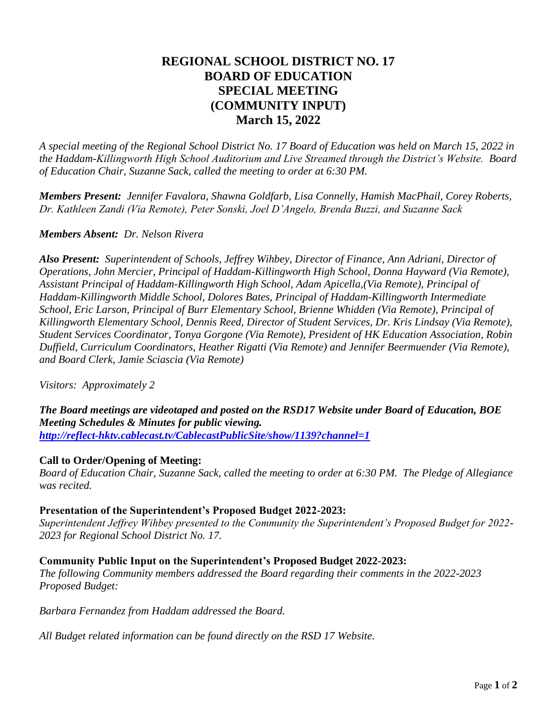# **REGIONAL SCHOOL DISTRICT NO. 17 BOARD OF EDUCATION SPECIAL MEETING (COMMUNITY INPUT) March 15, 2022**

*A special meeting of the Regional School District No. 17 Board of Education was held on March 15, 2022 in the Haddam-Killingworth High School Auditorium and Live Streamed through the District's Website. Board of Education Chair, Suzanne Sack, called the meeting to order at 6:30 PM.*

*Members Present: Jennifer Favalora, Shawna Goldfarb, Lisa Connelly, Hamish MacPhail, Corey Roberts, Dr. Kathleen Zandi (Via Remote), Peter Sonski, Joel D'Angelo, Brenda Buzzi, and Suzanne Sack* 

### *Members Absent: Dr. Nelson Rivera*

*Also Present: Superintendent of Schools, Jeffrey Wihbey, Director of Finance, Ann Adriani, Director of Operations, John Mercier, Principal of Haddam-Killingworth High School, Donna Hayward (Via Remote), Assistant Principal of Haddam-Killingworth High School, Adam Apicella,(Via Remote), Principal of Haddam-Killingworth Middle School, Dolores Bates, Principal of Haddam-Killingworth Intermediate School, Eric Larson, Principal of Burr Elementary School, Brienne Whidden (Via Remote), Principal of Killingworth Elementary School, Dennis Reed, Director of Student Services, Dr. Kris Lindsay (Via Remote), Student Services Coordinator, Tonya Gorgone (Via Remote), President of HK Education Association, Robin Duffield, Curriculum Coordinators, Heather Rigatti (Via Remote) and Jennifer Beermuender (Via Remote), and Board Clerk, Jamie Sciascia (Via Remote)*

*Visitors: Approximately 2*

*The Board meetings are videotaped and posted on the RSD17 Website under Board of Education, BOE Meeting Schedules & Minutes for public viewing. <http://reflect-hktv.cablecast.tv/CablecastPublicSite/show/1139?channel=1>*

#### **Call to Order/Opening of Meeting:**

*Board of Education Chair, Suzanne Sack, called the meeting to order at 6:30 PM. The Pledge of Allegiance was recited.*

#### **Presentation of the Superintendent's Proposed Budget 2022-2023:**

*Superintendent Jeffrey Wihbey presented to the Community the Superintendent's Proposed Budget for 2022- 2023 for Regional School District No. 17.*

#### **Community Public Input on the Superintendent's Proposed Budget 2022-2023:**

*The following Community members addressed the Board regarding their comments in the 2022-2023 Proposed Budget:*

*Barbara Fernandez from Haddam addressed the Board.* 

*All Budget related information can be found directly on the RSD 17 Website.*